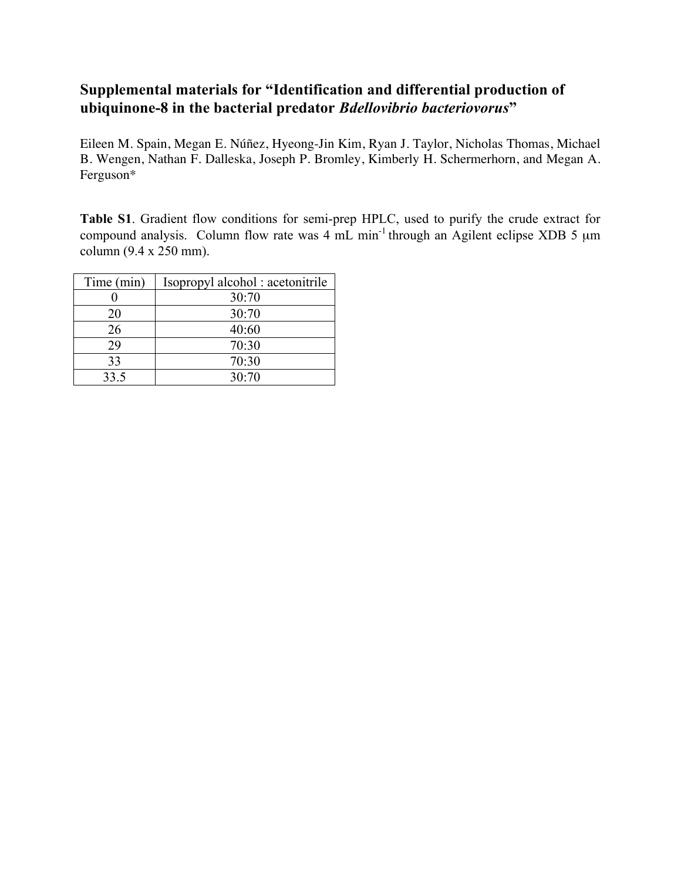## **Supplemental materials for "Identification and differential production of ubiquinone-8 in the bacterial predator** *Bdellovibrio bacteriovorus***"**

Eileen M. Spain, Megan E. Núñez, Hyeong-Jin Kim, Ryan J. Taylor, Nicholas Thomas, Michael B. Wengen, Nathan F. Dalleska, Joseph P. Bromley, Kimberly H. Schermerhorn, and Megan A. Ferguson\*

**Table S1**. Gradient flow conditions for semi-prep HPLC, used to purify the crude extract for compound analysis. Column flow rate was  $4 \text{ mL min}^{-1}$  through an Agilent eclipse XDB 5  $\mu$ m column (9.4 x 250 mm).

| Time (min) | Isopropyl alcohol: acetonitrile |
|------------|---------------------------------|
|            | 30:70                           |
| 20         | 30:70                           |
| 26         | 40:60                           |
| 29         | 70:30                           |
| 33         | 70:30                           |
| 33.5       | 30:70                           |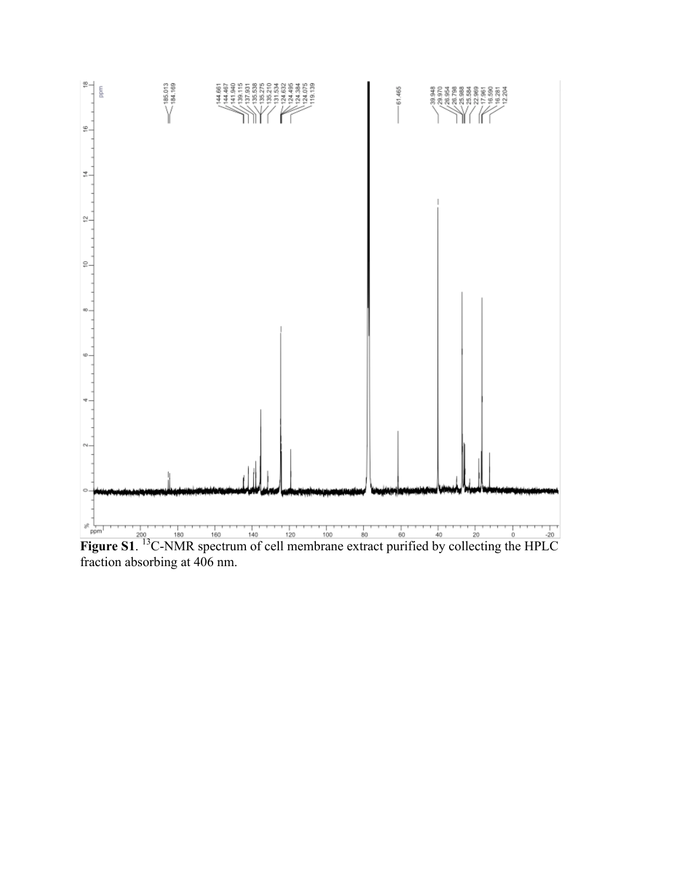

fraction absorbing at 406 nm.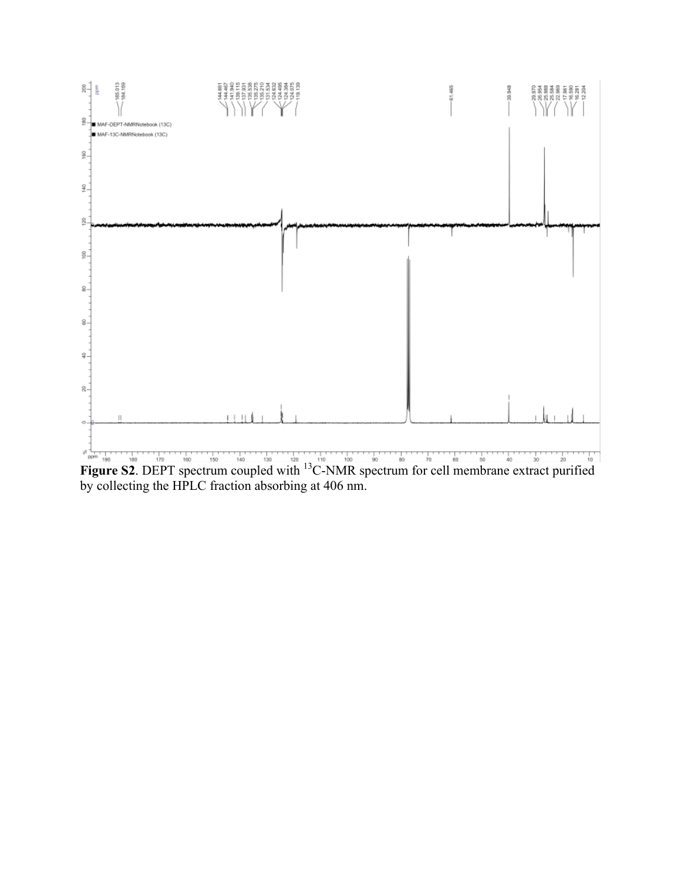

by collecting the HPLC fraction absorbing at 406 nm.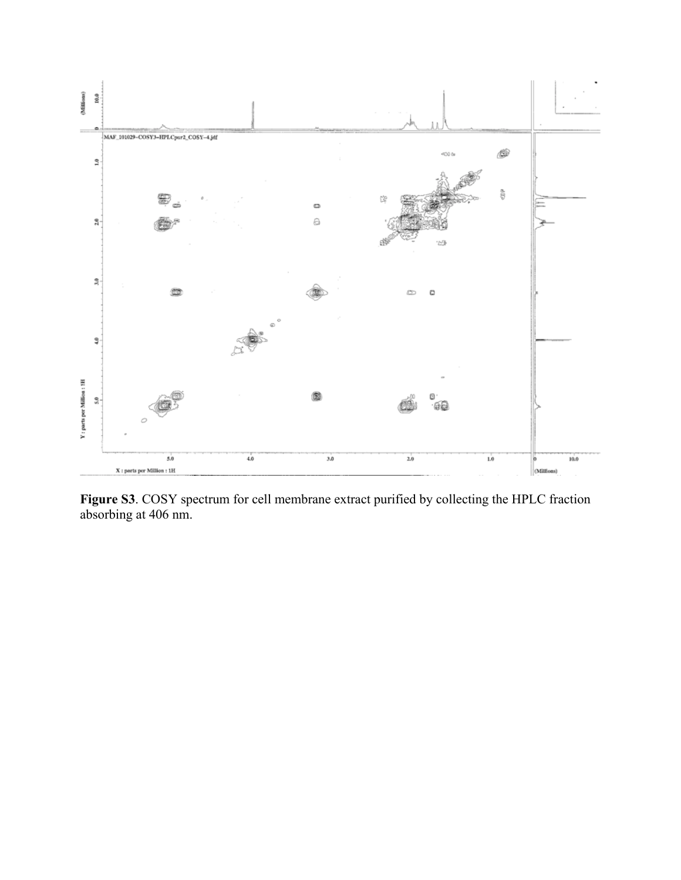

**Figure S3**. COSY spectrum for cell membrane extract purified by collecting the HPLC fraction absorbing at 406 nm.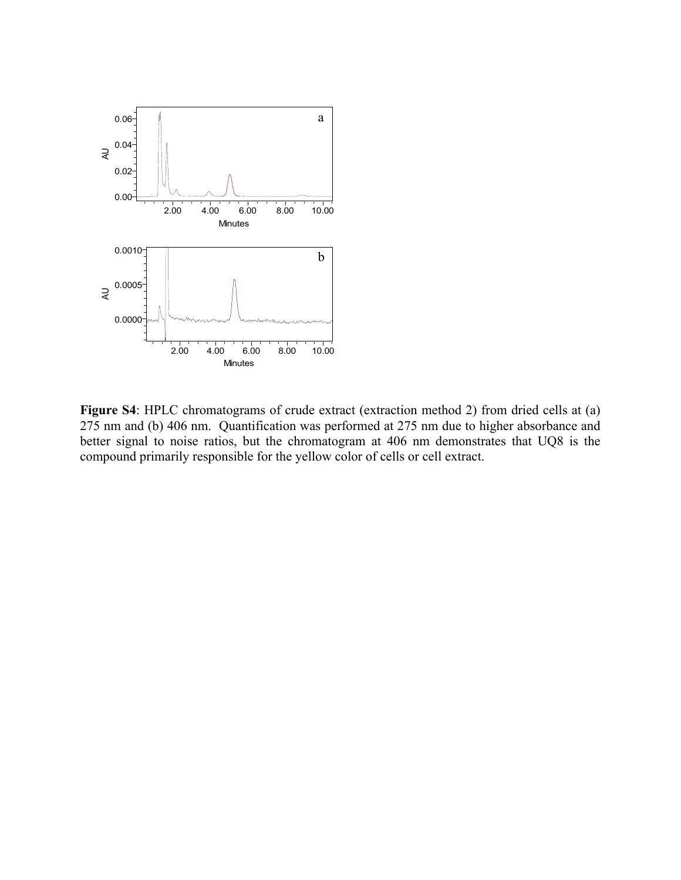

**Figure S4**: HPLC chromatograms of crude extract (extraction method 2) from dried cells at (a) 275 nm and (b) 406 nm. Quantification was performed at 275 nm due to higher absorbance and better signal to noise ratios, but the chromatogram at 406 nm demonstrates that UQ8 is the compound primarily responsible for the yellow color of cells or cell extract.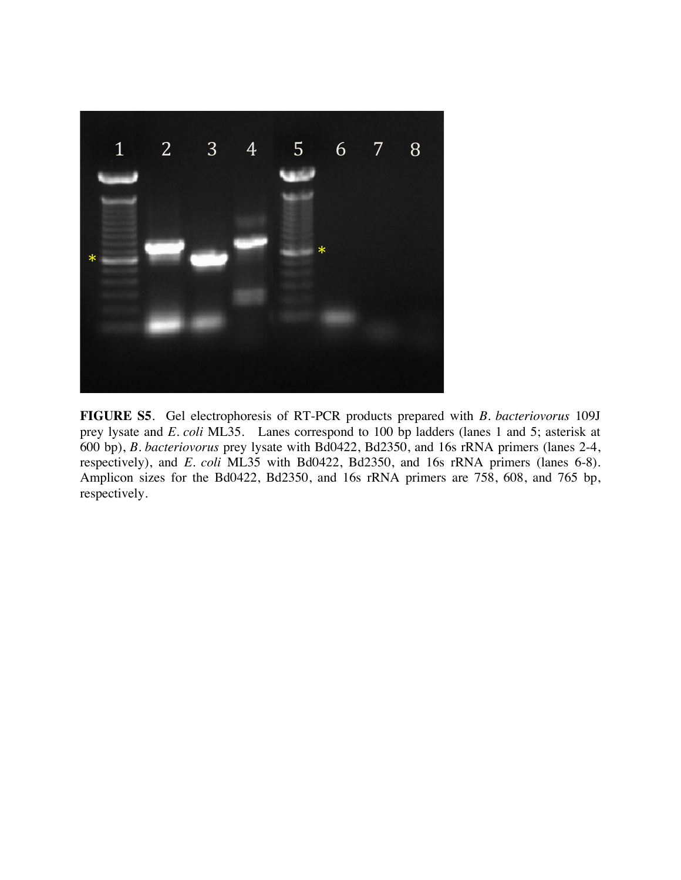

**FIGURE S5**. Gel electrophoresis of RT-PCR products prepared with *B. bacteriovorus* 109J prey lysate and *E. coli* ML35. Lanes correspond to 100 bp ladders (lanes 1 and 5; asterisk at 600 bp), *B. bacteriovorus* prey lysate with Bd0422, Bd2350, and 16s rRNA primers (lanes 2-4, respectively), and *E. coli* ML35 with Bd0422, Bd2350, and 16s rRNA primers (lanes 6-8). Amplicon sizes for the Bd0422, Bd2350, and 16s rRNA primers are 758, 608, and 765 bp, respectively.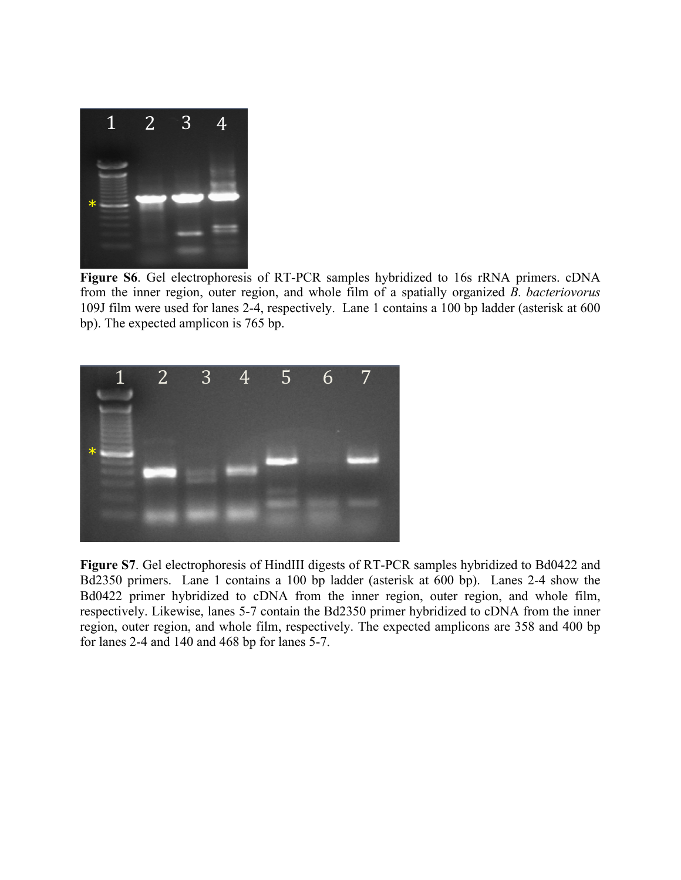

**Figure S6**. Gel electrophoresis of RT-PCR samples hybridized to 16s rRNA primers. cDNA from the inner region, outer region, and whole film of a spatially organized *B. bacteriovorus* 109J film were used for lanes 2-4, respectively. Lane 1 contains a 100 bp ladder (asterisk at 600 bp). The expected amplicon is 765 bp.



**Figure S7**. Gel electrophoresis of HindIII digests of RT-PCR samples hybridized to Bd0422 and Bd2350 primers. Lane 1 contains a 100 bp ladder (asterisk at 600 bp). Lanes 2-4 show the Bd0422 primer hybridized to cDNA from the inner region, outer region, and whole film, respectively. Likewise, lanes 5-7 contain the Bd2350 primer hybridized to cDNA from the inner region, outer region, and whole film, respectively. The expected amplicons are 358 and 400 bp for lanes 2-4 and 140 and 468 bp for lanes 5-7.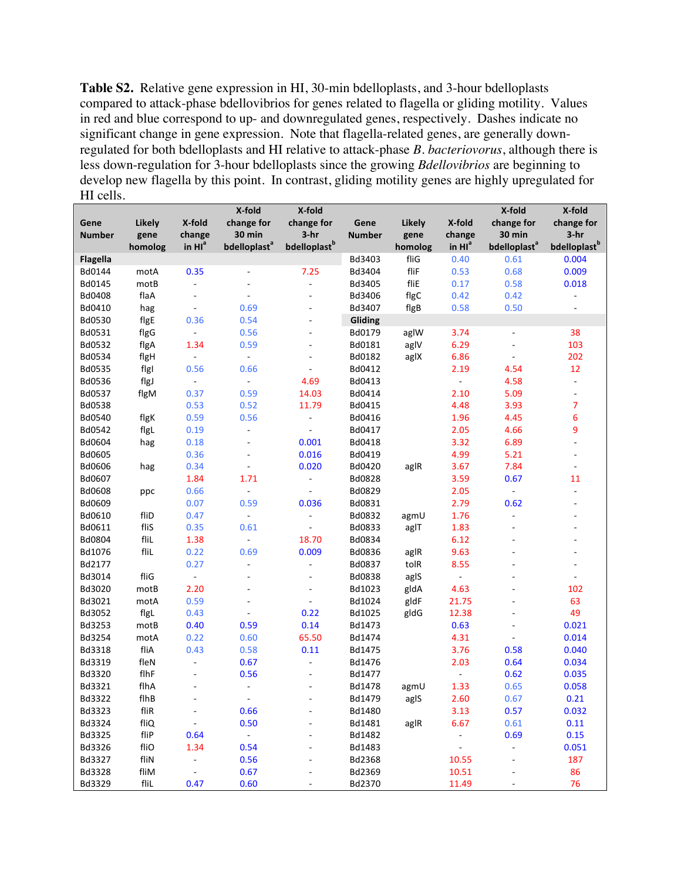**Table S2.** Relative gene expression in HI, 30-min bdelloplasts, and 3-hour bdelloplasts compared to attack-phase bdellovibrios for genes related to flagella or gliding motility. Values in red and blue correspond to up- and downregulated genes, respectively. Dashes indicate no significant change in gene expression. Note that flagella-related genes, are generally downregulated for both bdelloplasts and HI relative to attack-phase *B. bacteriovorus*, although there is less down-regulation for 3-hour bdelloplasts since the growing *Bdellovibrios* are beginning to develop new flagella by this point. In contrast, gliding motility genes are highly upregulated for HI cells.

|                 |               |                          | X-fold                   | X-fold                   |               |         |                              | X-fold                   | X-fold                   |
|-----------------|---------------|--------------------------|--------------------------|--------------------------|---------------|---------|------------------------------|--------------------------|--------------------------|
| Gene            | <b>Likely</b> | X-fold                   | change for               | change for               | Gene          | Likely  | X-fold                       | change for               | change for               |
| <b>Number</b>   | gene          | change                   | 30 min                   | $3-hr$                   | <b>Number</b> | gene    | change                       | <b>30 min</b>            | $3-hr$                   |
|                 | homolog       | in $Ha$                  | bdelloplast <sup>a</sup> | bdelloplast <sup>b</sup> |               | homolog | in $HI^a$                    | bdelloplast <sup>a</sup> | bdelloplast <sup>b</sup> |
| <b>Flagella</b> |               |                          |                          |                          | Bd3403        | fliG    | 0.40                         | 0.61                     | 0.004                    |
| Bd0144          | motA          | 0.35                     | $\blacksquare$           | 7.25                     | Bd3404        | fliF    | 0.53                         | 0.68                     | 0.009                    |
| Bd0145          | motB          | $\frac{1}{2}$            | $\frac{1}{2}$            | $\frac{1}{2}$            | Bd3405        | fliE    | 0.17                         | 0.58                     | 0.018                    |
| Bd0408          | flaA          | $\blacksquare$           | $\frac{1}{2}$            | ÷,                       | Bd3406        | flgC    | 0.42                         | 0.42                     | $\blacksquare$           |
| Bd0410          | hag           | $\Box$                   | 0.69                     | ÷,                       | Bd3407        | flgB    | 0.58                         | 0.50                     | $\overline{a}$           |
| Bd0530          | flgE          | 0.36                     | 0.54                     | ÷,                       | Gliding       |         |                              |                          |                          |
| Bd0531          | flgG          | ÷,                       | 0.56                     | ÷,                       | Bd0179        | aglW    | 3.74                         | ÷,                       | 38                       |
| Bd0532          | flgA          | 1.34                     | 0.59                     | ÷,                       | Bd0181        | aglV    | 6.29                         | ÷                        | 103                      |
| Bd0534          | flgH          | $\equiv$                 | $\overline{\phantom{a}}$ | $\overline{a}$           | Bd0182        | aglX    | 6.86                         | $\overline{\phantom{m}}$ | 202                      |
| Bd0535          | figl          | 0.56                     | 0.66                     | $\overline{a}$           | Bd0412        |         | 2.19                         | 4.54                     | 12                       |
| Bd0536          | flgJ          | $\overline{\phantom{a}}$ | $\overline{\phantom{a}}$ | 4.69                     | Bd0413        |         | $\Box$                       | 4.58                     | $\overline{\phantom{a}}$ |
| Bd0537          | flgM          | 0.37                     | 0.59                     | 14.03                    | Bd0414        |         | 2.10                         | 5.09                     | $\overline{\phantom{a}}$ |
| Bd0538          |               | 0.53                     | 0.52                     | 11.79                    | Bd0415        |         | 4.48                         | 3.93                     | 7                        |
| Bd0540          | flgK          | 0.59                     | 0.56                     | $\blacksquare$           | Bd0416        |         | 1.96                         | 4.45                     | 6                        |
| Bd0542          | flgL          | 0.19                     | $\blacksquare$           | $\blacksquare$           | Bd0417        |         | 2.05                         | 4.66                     | 9                        |
| Bd0604          | hag           | 0.18                     | $\frac{1}{2}$            | 0.001                    | Bd0418        |         | 3.32                         | 6.89                     | $\overline{a}$           |
| Bd0605          |               | 0.36                     | ÷,                       | 0.016                    | Bd0419        |         | 4.99                         | 5.21                     | $\overline{\phantom{m}}$ |
| Bd0606          | hag           | 0.34                     | $\overline{\phantom{a}}$ | 0.020                    | Bd0420        | aglR    | 3.67                         | 7.84                     | $\overline{\phantom{a}}$ |
| Bd0607          |               | 1.84                     | 1.71                     | $\frac{1}{2}$            | Bd0828        |         | 3.59                         | 0.67                     | 11                       |
| <b>Bd0608</b>   | ppc           | 0.66                     | $\Box$                   | L,                       | Bd0829        |         | 2.05                         | ÷.                       | $\overline{\phantom{a}}$ |
| Bd0609          |               | 0.07                     | 0.59                     | 0.036                    | Bd0831        |         | 2.79                         | 0.62                     | $\overline{\phantom{m}}$ |
| Bd0610          | fliD          | 0.47                     | $\Box$                   | $\blacksquare$           | Bd0832        | agmU    | 1.76                         | $\frac{1}{2}$            | $\overline{\phantom{m}}$ |
| Bd0611          | fliS          | 0.35                     | 0.61                     | L,                       | Bd0833        | aglT    | 1.83                         | ä,                       | ÷,                       |
| Bd0804          | fliL          | 1.38                     | $\blacksquare$           | 18.70                    | Bd0834        |         | 6.12                         |                          | ÷,                       |
| Bd1076          | fliL          | 0.22                     | 0.69                     | 0.009                    | Bd0836        | aglR    | 9.63                         |                          | L,                       |
| Bd2177          |               | 0.27                     | $\overline{\phantom{a}}$ | ä,                       | Bd0837        | tolR    | 8.55                         | ä,                       | ÷,                       |
| Bd3014          | fliG          | $\Box$                   | $\overline{\phantom{a}}$ | ÷,                       | Bd0838        | aglS    | $\blacksquare$               | ٠                        | $\overline{\phantom{a}}$ |
| Bd3020          | motB          | 2.20                     | $\overline{\phantom{a}}$ | ÷,                       | Bd1023        | gldA    | 4.63                         |                          | 102                      |
| Bd3021          | motA          | 0.59                     | ä,                       |                          | Bd1024        | gldF    | 21.75                        |                          | 63                       |
| Bd3052          | flgL          | 0.43                     |                          | 0.22                     | Bd1025        | gldG    | 12.38                        |                          | 49                       |
| Bd3253          | motB          | 0.40                     | 0.59                     | 0.14                     | Bd1473        |         | 0.63                         |                          | 0.021                    |
| Bd3254          | motA          | 0.22                     | 0.60                     | 65.50                    | Bd1474        |         | 4.31                         | ÷,                       | 0.014                    |
| Bd3318          | fliA          | 0.43                     | 0.58                     | 0.11                     | Bd1475        |         | 3.76                         | 0.58                     | 0.040                    |
| Bd3319          | fleN          | ÷,                       | 0.67                     | $\blacksquare$           | Bd1476        |         | 2.03                         | 0.64                     | 0.034                    |
| Bd3320          | flhF          | ÷                        | 0.56                     |                          | Bd1477        |         |                              | 0.62                     | 0.035                    |
| Bd3321          | flhA          | ä,                       | ٠                        |                          | Bd1478        | agmU    | 1.33                         | 0.65                     | 0.058                    |
| Bd3322          | flhB          | ÷                        | $\overline{\phantom{a}}$ | $\overline{\phantom{a}}$ | Bd1479        | aglS    | 2.60                         | 0.67                     | 0.21                     |
| Bd3323          | fliR          | $\blacksquare$           | 0.66                     | $\overline{a}$           | Bd1480        |         | 3.13                         | 0.57                     | 0.032                    |
| Bd3324          | fliQ          | $\Box$                   | 0.50                     |                          | Bd1481        | aglR    | 6.67                         | 0.61                     | 0.11                     |
| Bd3325          | fliP          | 0.64                     | ÷,                       |                          | Bd1482        |         | $\qquad \qquad \blacksquare$ | 0.69                     | 0.15                     |
| Bd3326          | fliO          | 1.34                     | 0.54                     |                          | Bd1483        |         | $\overline{a}$               | ÷,                       | 0.051                    |
| Bd3327          | fliN          | $\blacksquare$           | 0.56                     |                          | Bd2368        |         | 10.55                        | ÷,                       | 187                      |
| Bd3328          | fliM          | $\blacksquare$           | 0.67                     |                          | Bd2369        |         | 10.51                        |                          | 86                       |
| Bd3329          | fliL          | 0.47                     | 0.60                     |                          | Bd2370        |         | 11.49                        |                          | 76                       |